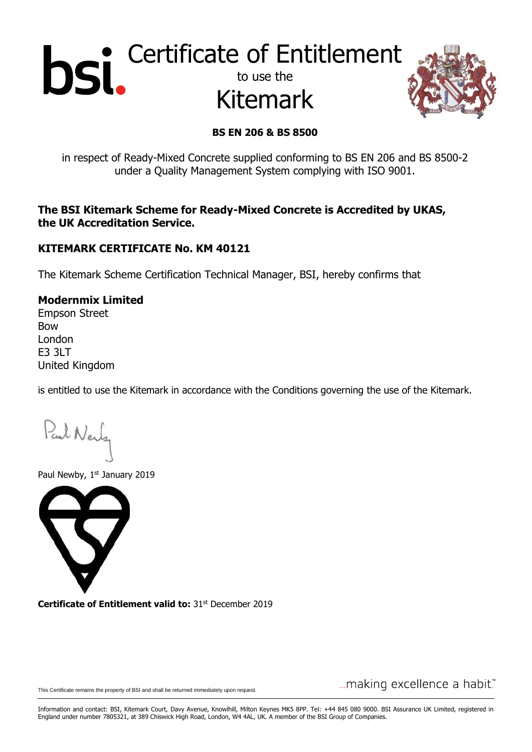# Certificate of Entitlement to use the Kitemark



### **BS EN 206 & BS 8500**

in respect of Ready-Mixed Concrete supplied conforming to BS EN 206 and BS 8500-2 under a Quality Management System complying with ISO 9001.

**The BSI Kitemark Scheme for Ready-Mixed Concrete is Accredited by UKAS, the UK Accreditation Service.**

### **KITEMARK CERTIFICATE No. KM 40121**

The Kitemark Scheme Certification Technical Manager, BSI, hereby confirms that

### **Modernmix Limited**

Empson Street Bow London E3 3LT United Kingdom

is entitled to use the Kitemark in accordance with the Conditions governing the use of the Kitemark.

Paul Nerly

Paul Newby, 1st January 2019



**Certificate of Entitlement valid to: 31st December 2019** 

This Certificate remains the property of BSI and shall be returned immediately upon request.

... making excellence a habit."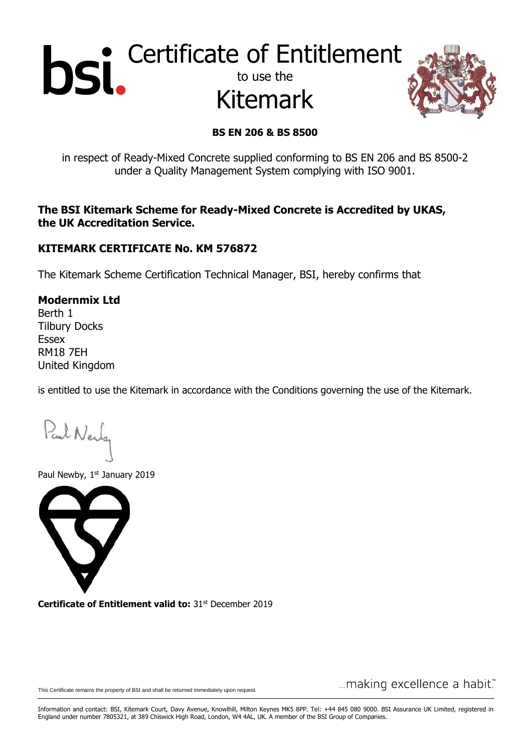# Certificate of Entitlement to use the Kitemark



### **BS EN 206 & BS 8500**

in respect of Ready-Mixed Concrete supplied conforming to BS EN 206 and BS 8500-2 under a Quality Management System complying with ISO 9001.

**The BSI Kitemark Scheme for Ready-Mixed Concrete is Accredited by UKAS, the UK Accreditation Service.**

### **KITEMARK CERTIFICATE No. KM 576872**

The Kitemark Scheme Certification Technical Manager, BSI, hereby confirms that

**Modernmix Ltd** Berth 1 Tilbury Docks Essex RM18 7EH United Kingdom

is entitled to use the Kitemark in accordance with the Conditions governing the use of the Kitemark.

Paul Nerly

Paul Newby, 1st January 2019



**Certificate of Entitlement valid to: 31st December 2019** 

This Certificate remains the property of BSI and shall be returned immediately upon request.

... making excellence a habit."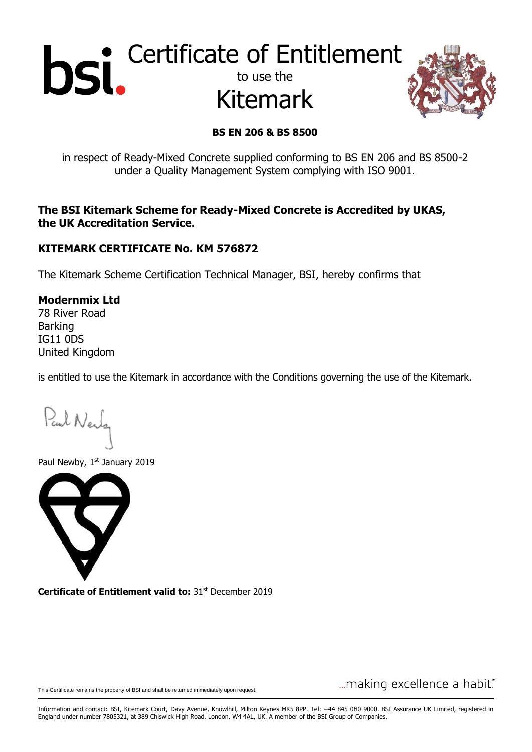# Certificate of Entitlement to use the Kitemark



## **BS EN 206 & BS 8500**

in respect of Ready-Mixed Concrete supplied conforming to BS EN 206 and BS 8500-2 under a Quality Management System complying with ISO 9001.

**The BSI Kitemark Scheme for Ready-Mixed Concrete is Accredited by UKAS, the UK Accreditation Service.**

### **KITEMARK CERTIFICATE No. KM 576872**

The Kitemark Scheme Certification Technical Manager, BSI, hereby confirms that

**Modernmix Ltd** 78 River Road Barking IG11 0DS United Kingdom

is entitled to use the Kitemark in accordance with the Conditions governing the use of the Kitemark.

Paul Nerly

Paul Newby, 1st January 2019



**Certificate of Entitlement valid to: 31st December 2019** 

This Certificate remains the property of BSI and shall be returned immediately upon request.

... making excellence a habit."